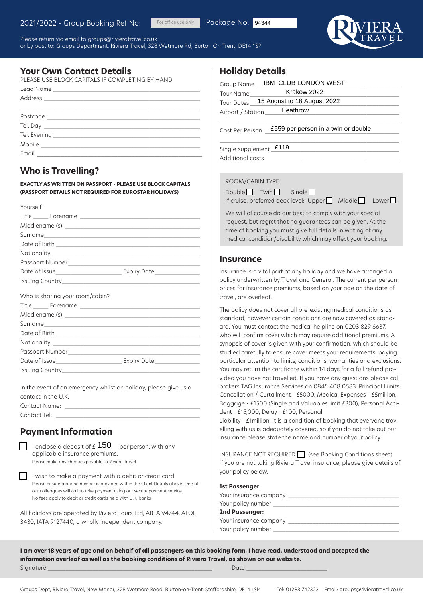Please return via email to groups@rivieratravel.co.uk or by post to: Groups Department, Riviera Travel, 328 Wetmore Rd, Burton On Trent, DE14 1SP

For office use only



## **Your Own Contact Details**

| PLEASE USE BLOCK CAPITALS IF COMPLETING BY HAND |
|-------------------------------------------------|
|                                                 |
|                                                 |
|                                                 |
|                                                 |
|                                                 |
|                                                 |
|                                                 |
|                                                 |
|                                                 |

# **Who is Travelling?**

**EXACTLY AS WRITTEN ON PASSPORT - PLEASE USE BLOCK CAPITALS (PASSPORT DETAILS NOT REQUIRED FOR EUROSTAR HOLIDAYS)**

| Yourself                        |  |
|---------------------------------|--|
|                                 |  |
|                                 |  |
| Surname                         |  |
|                                 |  |
|                                 |  |
|                                 |  |
|                                 |  |
|                                 |  |
| Who is sharing your room/cabin? |  |
|                                 |  |
| Surname                         |  |
|                                 |  |

Issuing Country\_\_\_\_\_\_\_\_\_\_\_\_\_\_\_\_\_\_\_\_\_\_\_\_\_\_\_\_\_\_\_\_\_\_\_\_\_\_\_\_\_\_\_\_\_\_ In the event of an emergency whilst on holiday, please give us a

Date of Issue\_\_\_\_\_\_\_\_\_\_\_\_\_\_\_\_\_\_\_\_\_\_ Expiry Date\_\_\_\_\_\_\_\_\_\_\_\_\_\_\_

contact in the U.K. Contact Name:

Contact Tel: \_\_\_\_\_\_\_\_\_\_\_\_\_\_\_\_\_\_\_\_\_\_\_\_\_\_\_\_\_\_\_\_\_\_\_\_\_\_\_\_\_\_\_\_\_\_\_\_

Nationality \_

## **Payment Information**

Passport Number

| I enclose a deposit of $\angle 150$ per person, with any<br>applicable insurance premiums.<br>Please make any cheques payable to Riviera Travel. |
|--------------------------------------------------------------------------------------------------------------------------------------------------|
| I wish to make a payment with a debit or credit card.<br>Please ensure a phone number is provided within the Client Details above. One of        |

our colleagues will call to take payment using our secure payment service. No fees apply to debit or credit cards held with U.K. banks.

All holidays are operated by Riviera Tours Ltd, ABTA V4744, ATOL 3430, IATA 9127440, a wholly independent company.

## **Holiday Details**

Package No: 94344

| S IF COMPLETING BY HAND             | Group Name ___ IBM_ CLUB LONDON WEST                                                                                                            |
|-------------------------------------|-------------------------------------------------------------------------------------------------------------------------------------------------|
|                                     | Krakow 2022<br>Tour Name                                                                                                                        |
|                                     | Tour Dates 15 August to 18 August 2022                                                                                                          |
|                                     | Heathrow<br>Airport / Station_____                                                                                                              |
|                                     |                                                                                                                                                 |
|                                     | £559 per person in a twin or double<br>Cost Per Person                                                                                          |
|                                     |                                                                                                                                                 |
|                                     | Single supplement £119                                                                                                                          |
|                                     |                                                                                                                                                 |
|                                     |                                                                                                                                                 |
|                                     |                                                                                                                                                 |
| SPORT - PLEASE USE BLOCK CAPITALS   | ROOM/CABIN TYPE                                                                                                                                 |
| <b>IRED FOR EUROSTAR HOLIDAYS)</b>  | $Double$ Twin<br>Single                                                                                                                         |
|                                     | If cruise, preferred deck level: Upper Middle<br>Lower                                                                                          |
|                                     | We will of course do our best to comply with your special                                                                                       |
|                                     | request, but regret that no guarantees can be given. At the                                                                                     |
|                                     | time of booking you must give full details in writing of any                                                                                    |
|                                     | medical condition/disability which may affect your booking.                                                                                     |
|                                     |                                                                                                                                                 |
|                                     | <b>Insurance</b>                                                                                                                                |
| ___ Expiry Date ____________        | Insurance is a vital part of any holiday and we have arranged a                                                                                 |
|                                     | policy underwritten by Travel and General. The current per person                                                                               |
|                                     | prices for insurance premiums, based on your age on the date of                                                                                 |
| 2bin?                               | travel, are overleaf.                                                                                                                           |
|                                     | The policy does not cover all pre-existing medical conditions as                                                                                |
|                                     | standard, however certain conditions are now covered as stand-                                                                                  |
|                                     | ard. You must contact the medical helpline on 0203 829 6637,                                                                                    |
|                                     | who will confirm cover which may require additional premiums. A                                                                                 |
|                                     | synopsis of cover is given with your confirmation, which should be                                                                              |
|                                     | studied carefully to ensure cover meets your requirements, paying                                                                               |
|                                     | particular attention to limits, conditions, warranties and exclusions.                                                                          |
|                                     | You may return the certificate within 14 days for a full refund pro-                                                                            |
|                                     | vided you have not travelled. If you have any questions please call                                                                             |
| whilst on holiday, please give us a | brokers TAG Insurance Services on 0845 408 0583. Principal Limits:                                                                              |
|                                     | Cancellation / Curtailment - £5000, Medical Expenses - £5million,                                                                               |
|                                     | Baggage - £1500 (Single and Valuables limit £300), Personal Acci-                                                                               |
|                                     | dent - £15,000, Delay - £100, Personal                                                                                                          |
|                                     | Liability - £1 million. It is a condition of booking that everyone trav-<br>elling with us is adequately covered, so if you do not take out our |
| tion                                | insurance please state the name and number of your policy.                                                                                      |
| 150<br>per person, with any         |                                                                                                                                                 |
|                                     |                                                                                                                                                 |

#### **Insurance**

 $INSURANCE NOT REQUIRED$  (see Booking Conditions sheet) If you are not taking Riviera Travel insurance, please give details of your policy below.

#### **1st Passenger:**

| Your insurance company |  |
|------------------------|--|
| Your policy number     |  |
| 2nd Passenger:         |  |
| Your insurance company |  |

Your policy number \_\_\_\_\_\_\_\_\_\_\_\_\_\_\_\_\_\_\_\_\_\_\_\_\_\_\_\_\_\_\_\_\_\_\_\_\_\_\_\_\_\_

**I am over 18 years of age and on behalf of all passengers on this booking form, I have read, understood and accepted the information overleaf as well as the booking conditions of Riviera Travel, as shown on our website.** Signature \_\_\_\_\_\_\_\_\_\_\_\_\_\_\_\_\_\_\_\_\_\_\_\_\_\_\_\_\_\_\_\_\_\_\_\_\_\_\_\_\_\_\_\_\_\_\_\_\_\_\_\_\_\_\_ Date \_\_\_\_\_\_\_\_\_\_\_\_\_\_\_\_\_\_\_\_\_\_\_\_\_\_\_